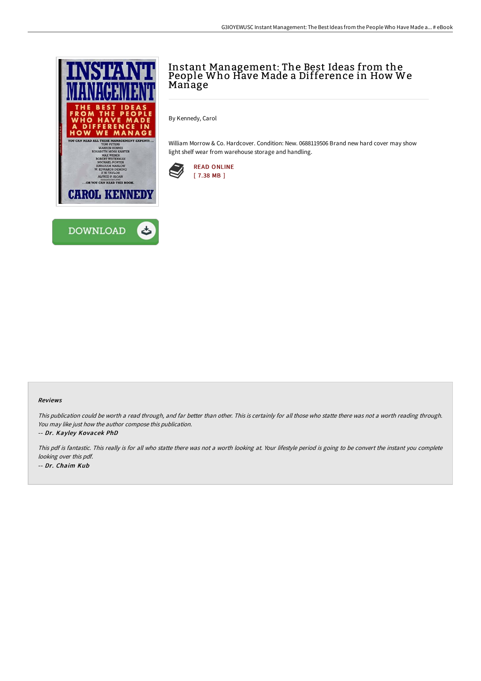



## Instant Management: The Best Ideas from the People Who Have Made a Difference in How We Manage

By Kennedy, Carol

William Morrow & Co. Hardcover. Condition: New. 0688119506 Brand new hard cover may show light shelf wear from warehouse storage and handling.



## Reviews

This publication could be worth <sup>a</sup> read through, and far better than other. This is certainly for all those who statte there was not <sup>a</sup> worth reading through. You may like just how the author compose this publication.

-- Dr. Kayley Kovacek PhD

This pdf is fantastic. This really is for all who statte there was not <sup>a</sup> worth looking at. Your lifestyle period is going to be convert the instant you complete looking over this pdf. -- Dr. Chaim Kub